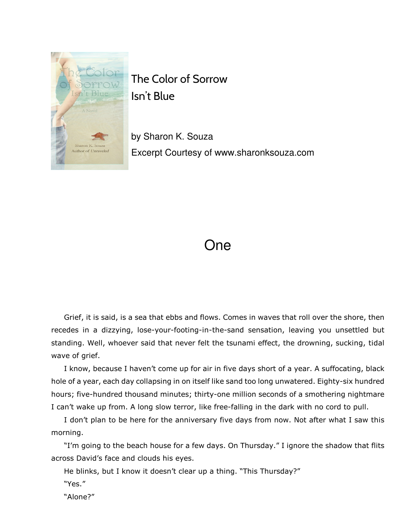

The Color of Sorrow Isn't Blue

by Sharon K. Souza Excerpt Courtesy of www.sharonksouza.com

## One

Grief, it is said, is a sea that ebbs and flows. Comes in waves that roll over the shore, then recedes in a dizzying, lose-your-footing-in-the-sand sensation, leaving you unsettled but standing. Well, whoever said that never felt the tsunami effect, the drowning, sucking, tidal wave of grief.

I know, because I haven't come up for air in five days short of a year. A suffocating, black hole of a year, each day collapsing in on itself like sand too long unwatered. Eighty-six hundred hours; five-hundred thousand minutes; thirty-one million seconds of a smothering nightmare I can't wake up from. A long slow terror, like free-falling in the dark with no cord to pull.

I don't plan to be here for the anniversary five days from now. Not after what I saw this morning.

"I'm going to the beach house for a few days. On Thursday." I ignore the shadow that flits across David's face and clouds his eyes.

He blinks, but I know it doesn't clear up a thing. "This Thursday?" "Yes."

"Alone?"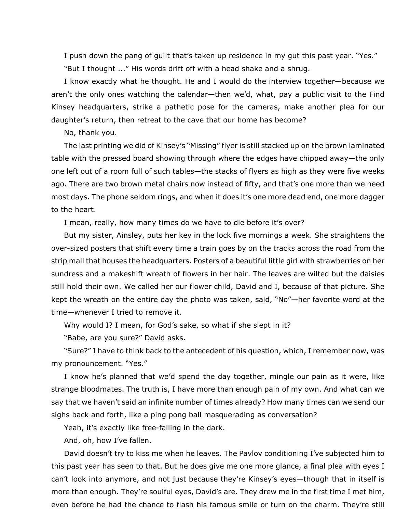I push down the pang of guilt that's taken up residence in my gut this past year. "Yes." "But I thought ..." His words drift off with a head shake and a shrug.

I know exactly what he thought. He and I would do the interview together—because we aren't the only ones watching the calendar—then we'd, what, pay a public visit to the Find Kinsey headquarters, strike a pathetic pose for the cameras, make another plea for our daughter's return, then retreat to the cave that our home has become?

No, thank you.

The last printing we did of Kinsey's "Missing" flyer is still stacked up on the brown laminated table with the pressed board showing through where the edges have chipped away—the only one left out of a room full of such tables—the stacks of flyers as high as they were five weeks ago. There are two brown metal chairs now instead of fifty, and that's one more than we need most days. The phone seldom rings, and when it does it's one more dead end, one more dagger to the heart.

I mean, really, how many times do we have to die before it's over?

But my sister, Ainsley, puts her key in the lock five mornings a week. She straightens the over-sized posters that shift every time a train goes by on the tracks across the road from the strip mall that houses the headquarters. Posters of a beautiful little girl with strawberries on her sundress and a makeshift wreath of flowers in her hair. The leaves are wilted but the daisies still hold their own. We called her our flower child, David and I, because of that picture. She kept the wreath on the entire day the photo was taken, said, "No"—her favorite word at the time—whenever I tried to remove it.

Why would I? I mean, for God's sake, so what if she slept in it?

"Babe, are you sure?" David asks.

"Sure?" I have to think back to the antecedent of his question, which, I remember now, was my pronouncement. "Yes."

I know he's planned that we'd spend the day together, mingle our pain as it were, like strange bloodmates. The truth is, I have more than enough pain of my own. And what can we say that we haven't said an infinite number of times already? How many times can we send our sighs back and forth, like a ping pong ball masquerading as conversation?

Yeah, it's exactly like free-falling in the dark.

And, oh, how I've fallen.

David doesn't try to kiss me when he leaves. The Pavlov conditioning I've subjected him to this past year has seen to that. But he does give me one more glance, a final plea with eyes I can't look into anymore, and not just because they're Kinsey's eyes—though that in itself is more than enough. They're soulful eyes, David's are. They drew me in the first time I met him, even before he had the chance to flash his famous smile or turn on the charm. They're still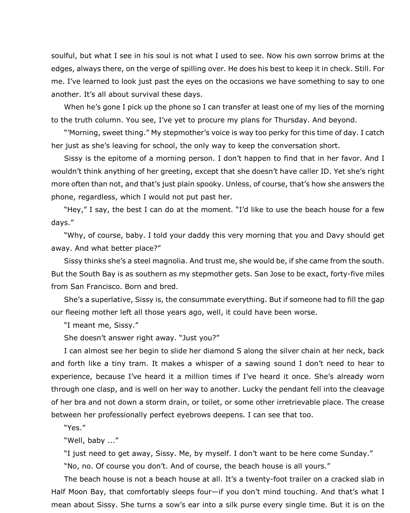soulful, but what I see in his soul is not what I used to see. Now his own sorrow brims at the edges, always there, on the verge of spilling over. He does his best to keep it in check. Still. For me. I've learned to look just past the eyes on the occasions we have something to say to one another. It's all about survival these days.

When he's gone I pick up the phone so I can transfer at least one of my lies of the morning to the truth column. You see, I've yet to procure my plans for Thursday. And beyond.

"'Morning, sweet thing." My stepmother's voice is way too perky for this time of day. I catch her just as she's leaving for school, the only way to keep the conversation short.

Sissy is the epitome of a morning person. I don't happen to find that in her favor. And I wouldn't think anything of her greeting, except that she doesn't have caller ID. Yet she's right more often than not, and that's just plain spooky. Unless, of course, that's how she answers the phone, regardless, which I would not put past her.

"Hey," I say, the best I can do at the moment. "I'd like to use the beach house for a few days."

"Why, of course, baby. I told your daddy this very morning that you and Davy should get away. And what better place?"

Sissy thinks she's a steel magnolia. And trust me, she would be, if she came from the south. But the South Bay is as southern as my stepmother gets. San Jose to be exact, forty-five miles from San Francisco. Born and bred.

She's a superlative, Sissy is, the consummate everything. But if someone had to fill the gap our fleeing mother left all those years ago, well, it could have been worse.

"I meant me, Sissy."

She doesn't answer right away. "Just you?"

I can almost see her begin to slide her diamond S along the silver chain at her neck, back and forth like a tiny tram. It makes a whisper of a sawing sound I don't need to hear to experience, because I've heard it a million times if I've heard it once. She's already worn through one clasp, and is well on her way to another. Lucky the pendant fell into the cleavage of her bra and not down a storm drain, or toilet, or some other irretrievable place. The crease between her professionally perfect eyebrows deepens. I can see that too.

"Yes."

"Well, baby ..."

"I just need to get away, Sissy. Me, by myself. I don't want to be here come Sunday."

"No, no. Of course you don't. And of course, the beach house is all yours."

The beach house is not a beach house at all. It's a twenty-foot trailer on a cracked slab in Half Moon Bay, that comfortably sleeps four—if you don't mind touching. And that's what I mean about Sissy. She turns a sow's ear into a silk purse every single time. But it is on the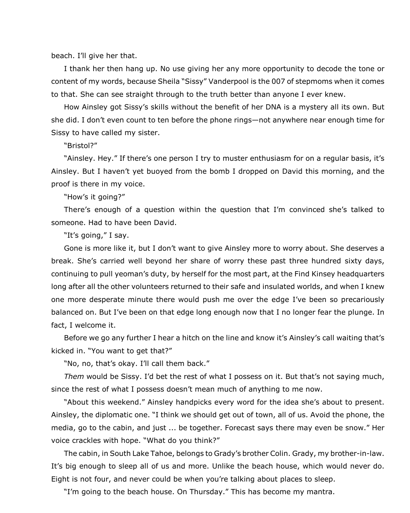beach. I'll give her that.

I thank her then hang up. No use giving her any more opportunity to decode the tone or content of my words, because Sheila "Sissy" Vanderpool is the 007 of stepmoms when it comes to that. She can see straight through to the truth better than anyone I ever knew.

How Ainsley got Sissy's skills without the benefit of her DNA is a mystery all its own. But she did. I don't even count to ten before the phone rings—not anywhere near enough time for Sissy to have called my sister.

"Bristol?"

"Ainsley. Hey." If there's one person I try to muster enthusiasm for on a regular basis, it's Ainsley. But I haven't yet buoyed from the bomb I dropped on David this morning, and the proof is there in my voice.

"How's it going?"

There's enough of a question within the question that I'm convinced she's talked to someone. Had to have been David.

"It's going," I say.

Gone is more like it, but I don't want to give Ainsley more to worry about. She deserves a break. She's carried well beyond her share of worry these past three hundred sixty days, continuing to pull yeoman's duty, by herself for the most part, at the Find Kinsey headquarters long after all the other volunteers returned to their safe and insulated worlds, and when I knew one more desperate minute there would push me over the edge I've been so precariously balanced on. But I've been on that edge long enough now that I no longer fear the plunge. In fact, I welcome it.

Before we go any further I hear a hitch on the line and know it's Ainsley's call waiting that's kicked in. "You want to get that?"

"No, no, that's okay. I'll call them back."

Them would be Sissy. I'd bet the rest of what I possess on it. But that's not saying much, since the rest of what I possess doesn't mean much of anything to me now.

"About this weekend." Ainsley handpicks every word for the idea she's about to present. Ainsley, the diplomatic one. "I think we should get out of town, all of us. Avoid the phone, the media, go to the cabin, and just ... be together. Forecast says there may even be snow." Her voice crackles with hope. "What do you think?"

The cabin, in South Lake Tahoe, belongs to Grady's brother Colin. Grady, my brother-in-law. It's big enough to sleep all of us and more. Unlike the beach house, which would never do. Eight is not four, and never could be when you're talking about places to sleep.

"I'm going to the beach house. On Thursday." This has become my mantra.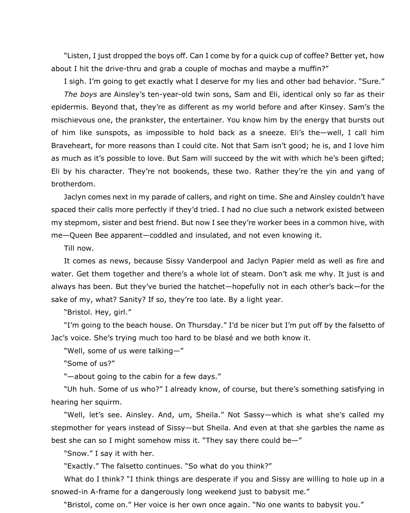"Listen, I just dropped the boys off. Can I come by for a quick cup of coffee? Better yet, how about I hit the drive-thru and grab a couple of mochas and maybe a muffin?"

I sigh. I'm going to get exactly what I deserve for my lies and other bad behavior. "Sure."

The boys are Ainsley's ten-year-old twin sons, Sam and Eli, identical only so far as their epidermis. Beyond that, they're as different as my world before and after Kinsey. Sam's the mischievous one, the prankster, the entertainer. You know him by the energy that bursts out of him like sunspots, as impossible to hold back as a sneeze. Eli's the—well, I call him Braveheart, for more reasons than I could cite. Not that Sam isn't good; he is, and I love him as much as it's possible to love. But Sam will succeed by the wit with which he's been gifted; Eli by his character. They're not bookends, these two. Rather they're the yin and yang of brotherdom.

Jaclyn comes next in my parade of callers, and right on time. She and Ainsley couldn't have spaced their calls more perfectly if they'd tried. I had no clue such a network existed between my stepmom, sister and best friend. But now I see they're worker bees in a common hive, with me—Queen Bee apparent—coddled and insulated, and not even knowing it.

Till now.

It comes as news, because Sissy Vanderpool and Jaclyn Papier meld as well as fire and water. Get them together and there's a whole lot of steam. Don't ask me why. It just is and always has been. But they've buried the hatchet—hopefully not in each other's back—for the sake of my, what? Sanity? If so, they're too late. By a light year.

"Bristol. Hey, girl."

"I'm going to the beach house. On Thursday." I'd be nicer but I'm put off by the falsetto of Jac's voice. She's trying much too hard to be blasé and we both know it.

"Well, some of us were talking—"

"Some of us?"

"—about going to the cabin for a few days."

"Uh huh. Some of us who?" I already know, of course, but there's something satisfying in hearing her squirm.

"Well, let's see. Ainsley. And, um, Sheila." Not Sassy—which is what she's called my stepmother for years instead of Sissy—but Sheila. And even at that she garbles the name as best she can so I might somehow miss it. "They say there could be—"

"Snow." I say it with her.

"Exactly." The falsetto continues. "So what do you think?"

What do I think? "I think things are desperate if you and Sissy are willing to hole up in a snowed-in A-frame for a dangerously long weekend just to babysit me."

"Bristol, come on." Her voice is her own once again. "No one wants to babysit you."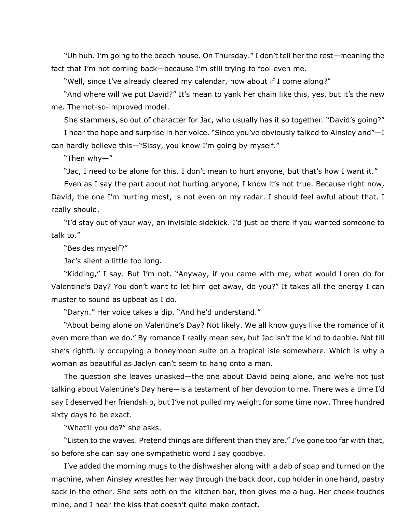"Uh huh. I'm going to the beach house. On Thursday." I don't tell her the rest—meaning the fact that I'm not coming back—because I'm still trying to fool even me.

"Well, since I've already cleared my calendar, how about if I come along?"

"And where will we put David?" It's mean to yank her chain like this, yes, but it's the new me. The not-so-improved model.

She stammers, so out of character for Jac, who usually has it so together. "David's going?"

I hear the hope and surprise in her voice. "Since you've obviously talked to Ainsley and"—I can hardly believe this—"Sissy, you know I'm going by myself."

"Then why—"

"Jac, I need to be alone for this. I don't mean to hurt anyone, but that's how I want it."

Even as I say the part about not hurting anyone, I know it's not true. Because right now, David, the one I'm hurting most, is not even on my radar. I should feel awful about that. I really should.

"I'd stay out of your way, an invisible sidekick. I'd just be there if you wanted someone to talk to."

"Besides myself?"

Jac's silent a little too long.

"Kidding," I say. But I'm not. "Anyway, if you came with me, what would Loren do for Valentine's Day? You don't want to let him get away, do you?" It takes all the energy I can muster to sound as upbeat as I do.

"Daryn." Her voice takes a dip. "And he'd understand."

"About being alone on Valentine's Day? Not likely. We all know guys like the romance of it even more than we do." By romance I really mean sex, but Jac isn't the kind to dabble. Not till she's rightfully occupying a honeymoon suite on a tropical isle somewhere. Which is why a woman as beautiful as Jaclyn can't seem to hang onto a man.

The question she leaves unasked—the one about David being alone, and we're not just talking about Valentine's Day here—is a testament of her devotion to me. There was a time I'd say I deserved her friendship, but I've not pulled my weight for some time now. Three hundred sixty days to be exact.

"What'll you do?" she asks.

"Listen to the waves. Pretend things are different than they are." I've gone too far with that, so before she can say one sympathetic word I say goodbye.

I've added the morning mugs to the dishwasher along with a dab of soap and turned on the machine, when Ainsley wrestles her way through the back door, cup holder in one hand, pastry sack in the other. She sets both on the kitchen bar, then gives me a hug. Her cheek touches mine, and I hear the kiss that doesn't quite make contact.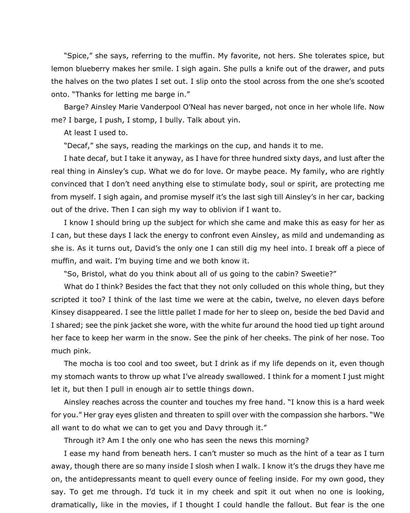"Spice," she says, referring to the muffin. My favorite, not hers. She tolerates spice, but lemon blueberry makes her smile. I sigh again. She pulls a knife out of the drawer, and puts the halves on the two plates I set out. I slip onto the stool across from the one she's scooted onto. "Thanks for letting me barge in."

Barge? Ainsley Marie Vanderpool O'Neal has never barged, not once in her whole life. Now me? I barge, I push, I stomp, I bully. Talk about yin.

At least I used to.

"Decaf," she says, reading the markings on the cup, and hands it to me.

I hate decaf, but I take it anyway, as I have for three hundred sixty days, and lust after the real thing in Ainsley's cup. What we do for love. Or maybe peace. My family, who are rightly convinced that I don't need anything else to stimulate body, soul or spirit, are protecting me from myself. I sigh again, and promise myself it's the last sigh till Ainsley's in her car, backing out of the drive. Then I can sigh my way to oblivion if I want to.

I know I should bring up the subject for which she came and make this as easy for her as I can, but these days I lack the energy to confront even Ainsley, as mild and undemanding as she is. As it turns out, David's the only one I can still dig my heel into. I break off a piece of muffin, and wait. I'm buying time and we both know it.

"So, Bristol, what do you think about all of us going to the cabin? Sweetie?"

What do I think? Besides the fact that they not only colluded on this whole thing, but they scripted it too? I think of the last time we were at the cabin, twelve, no eleven days before Kinsey disappeared. I see the little pallet I made for her to sleep on, beside the bed David and I shared; see the pink jacket she wore, with the white fur around the hood tied up tight around her face to keep her warm in the snow. See the pink of her cheeks. The pink of her nose. Too much pink.

The mocha is too cool and too sweet, but I drink as if my life depends on it, even though my stomach wants to throw up what I've already swallowed. I think for a moment I just might let it, but then I pull in enough air to settle things down.

Ainsley reaches across the counter and touches my free hand. "I know this is a hard week for you." Her gray eyes glisten and threaten to spill over with the compassion she harbors. "We all want to do what we can to get you and Davy through it."

Through it? Am I the only one who has seen the news this morning?

I ease my hand from beneath hers. I can't muster so much as the hint of a tear as I turn away, though there are so many inside I slosh when I walk. I know it's the drugs they have me on, the antidepressants meant to quell every ounce of feeling inside. For my own good, they say. To get me through. I'd tuck it in my cheek and spit it out when no one is looking, dramatically, like in the movies, if I thought I could handle the fallout. But fear is the one